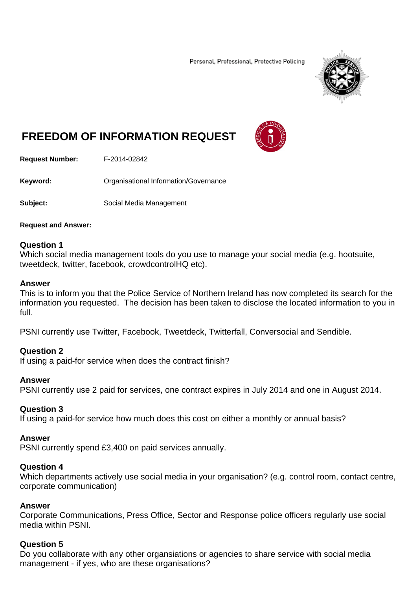Personal, Professional, Protective Policing



# **FREEDOM OF INFORMATION REQUEST**



**Request Number:** F-2014-02842

**Keyword: Cranisational Information/Governance** 

**Subject:** Social Media Management

#### **Request and Answer:**

#### **Question 1**

Which social media management tools do you use to manage your social media (e.g. hootsuite, tweetdeck, twitter, facebook, crowdcontrolHQ etc).

#### **Answer**

This is to inform you that the Police Service of Northern Ireland has now completed its search for the information you requested. The decision has been taken to disclose the located information to you in full.

PSNI currently use Twitter, Facebook, Tweetdeck, Twitterfall, Conversocial and Sendible.

# **Question 2**

If using a paid-for service when does the contract finish?

#### **Answer**

PSNI currently use 2 paid for services, one contract expires in July 2014 and one in August 2014.

# **Question 3**

If using a paid-for service how much does this cost on either a monthly or annual basis?

#### **Answer**

PSNI currently spend £3,400 on paid services annually.

#### **Question 4**

Which departments actively use social media in your organisation? (e.g. control room, contact centre, corporate communication)

#### **Answer**

Corporate Communications, Press Office, Sector and Response police officers regularly use social media within PSNI.

# **Question 5**

Do you collaborate with any other organsiations or agencies to share service with social media management - if yes, who are these organisations?